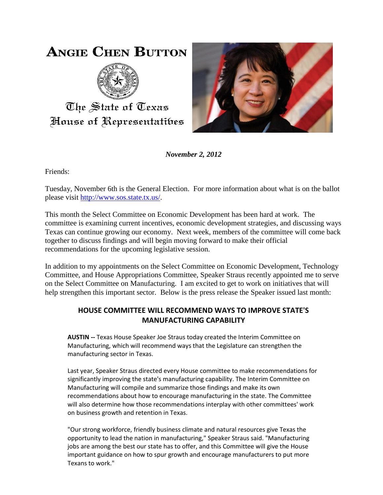# **ANGIE CHEN BUTTON**



The State of Texas House of Representatibes



*November 2, 2012*

Friends:

Tuesday, November 6th is the General Election. For more information about what is on the ballot please visit [http://www.sos.state.tx.us/.](http://www.sos.state.tx.us/)

This month the Select Committee on Economic Development has been hard at work. The committee is examining current incentives, economic development strategies, and discussing ways Texas can continue growing our economy. Next week, members of the committee will come back together to discuss findings and will begin moving forward to make their official recommendations for the upcoming legislative session.

In addition to my appointments on the Select Committee on Economic Development, Technology Committee, and House Appropriations Committee, Speaker Straus recently appointed me to serve on the Select Committee on Manufacturing. I am excited to get to work on initiatives that will help strengthen this important sector. Below is the press release the Speaker issued last month:

## **HOUSE COMMITTEE WILL RECOMMEND WAYS TO IMPROVE STATE'S MANUFACTURING CAPABILITY**

**AUSTIN --** Texas House Speaker Joe Straus today created the Interim Committee on Manufacturing, which will recommend ways that the Legislature can strengthen the manufacturing sector in Texas.

Last year, Speaker Straus directed every House committee to make recommendations for significantly improving the state's manufacturing capability. The Interim Committee on Manufacturing will compile and summarize those findings and make its own recommendations about how to encourage manufacturing in the state. The Committee will also determine how those recommendations interplay with other committees' work on business growth and retention in Texas.

"Our strong workforce, friendly business climate and natural resources give Texas the opportunity to lead the nation in manufacturing," Speaker Straus said. "Manufacturing jobs are among the best our state has to offer, and this Committee will give the House important guidance on how to spur growth and encourage manufacturers to put more Texans to work."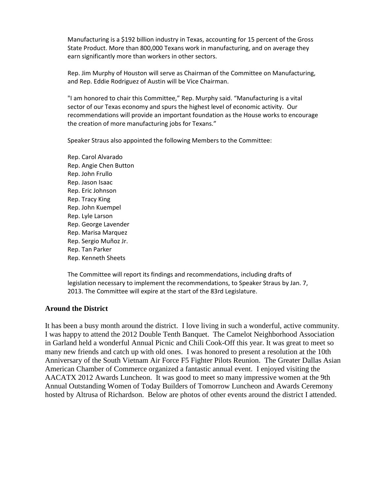Manufacturing is a \$192 billion industry in Texas, accounting for 15 percent of the Gross State Product. More than 800,000 Texans work in manufacturing, and on average they earn significantly more than workers in other sectors.

Rep. Jim Murphy of Houston will serve as Chairman of the Committee on Manufacturing, and Rep. Eddie Rodriguez of Austin will be Vice Chairman.

"I am honored to chair this Committee," Rep. Murphy said. "Manufacturing is a vital sector of our Texas economy and spurs the highest level of economic activity. Our recommendations will provide an important foundation as the House works to encourage the creation of more manufacturing jobs for Texans."

Speaker Straus also appointed the following Members to the Committee:

Rep. Carol Alvarado Rep. Angie Chen Button Rep. John Frullo Rep. Jason Isaac Rep. Eric Johnson Rep. Tracy King Rep. John Kuempel Rep. Lyle Larson Rep. George Lavender Rep. Marisa Marquez Rep. Sergio Muñoz Jr. Rep. Tan Parker Rep. Kenneth Sheets

The Committee will report its findings and recommendations, including drafts of legislation necessary to implement the recommendations, to Speaker Straus by Jan. 7, 2013. The Committee will expire at the start of the 83rd Legislature.

#### **Around the District**

It has been a busy month around the district. I love living in such a wonderful, active community. I was happy to attend the 2012 Double Tenth Banquet. The Camelot Neighborhood Association in Garland held a wonderful Annual Picnic and Chili Cook-Off this year. It was great to meet so many new friends and catch up with old ones. I was honored to present a resolution at the 10th Anniversary of the South Vietnam Air Force F5 Fighter Pilots Reunion. The Greater Dallas Asian American Chamber of Commerce organized a fantastic annual event. I enjoyed visiting the AACATX 2012 Awards Luncheon. It was good to meet so many impressive women at the 9th Annual Outstanding Women of Today Builders of Tomorrow Luncheon and Awards Ceremony hosted by Altrusa of Richardson. Below are photos of other events around the district I attended.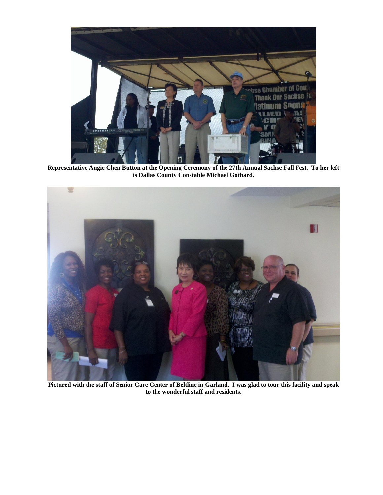

**Representative Angie Chen Button at the Opening Ceremony of the 27th Annual Sachse Fall Fest. To her left is Dallas County Constable Michael Gothard.**



**Pictured with the staff of Senior Care Center of Beltline in Garland. I was glad to tour this facility and speak to the wonderful staff and residents.**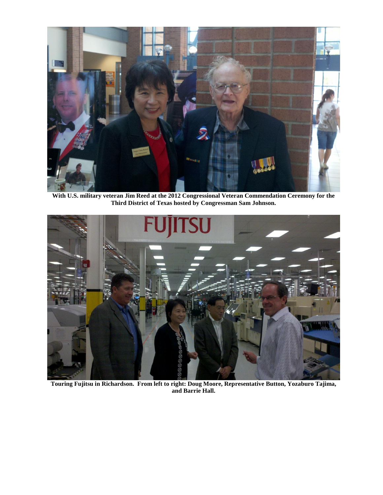

**With U.S. military veteran Jim Reed at the 2012 Congressional Veteran Commendation Ceremony for the Third District of Texas hosted by Congressman Sam Johnson.** 



**Touring Fujitsu in Richardson. From left to right: Doug Moore, Representative Button, Yozaburo Tajima, and Barrie Hall.**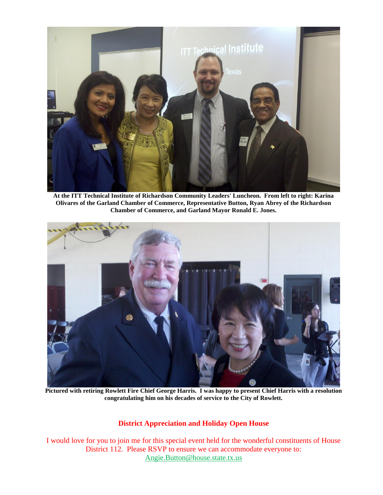

**At the ITT Technical Institute of Richardson Community Leaders' Luncheon. From left to right: Karina Olivares of the Garland Chamber of Commerce, Representative Button, Ryan Abrey of the Richardson Chamber of Commerce, and Garland Mayor Ronald E. Jones.**



**Pictured with retiring Rowlett Fire Chief George Harris. I was happy to present Chief Harris with a resolution congratulating him on his decades of service to the City of Rowlett.**

#### **District Appreciation and Holiday Open House**

I would love for you to join me for this special event held for the wonderful constituents of House District 112. Please RSVP to ensure we can accommodate everyone to: [Angie.Button@house.state.tx.us](mailto:Angie.Button@house.state.tx.us)